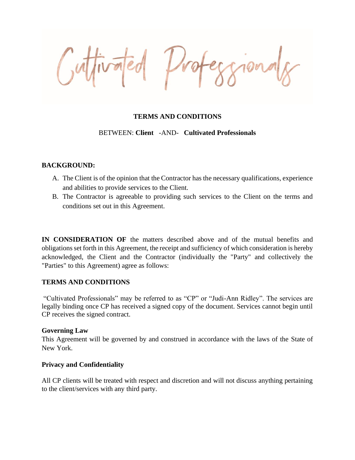Vro

# **TERMS AND CONDITIONS**

BETWEEN: **Client** -AND- **Cultivated Professionals**

## **BACKGROUND:**

- A. The Client is of the opinion that the Contractor has the necessary qualifications, experience and abilities to provide services to the Client.
- B. The Contractor is agreeable to providing such services to the Client on the terms and conditions set out in this Agreement.

**IN CONSIDERATION OF** the matters described above and of the mutual benefits and obligations set forth in this Agreement, the receipt and sufficiency of which consideration is hereby acknowledged, the Client and the Contractor (individually the "Party" and collectively the "Parties" to this Agreement) agree as follows:

## **TERMS AND CONDITIONS**

"Cultivated Professionals" may be referred to as "CP" or "Judi-Ann Ridley". The services are legally binding once CP has received a signed copy of the document. Services cannot begin until CP receives the signed contract.

### **Governing Law**

This Agreement will be governed by and construed in accordance with the laws of the State of New York.

### **Privacy and Confidentiality**

All CP clients will be treated with respect and discretion and will not discuss anything pertaining to the client/services with any third party.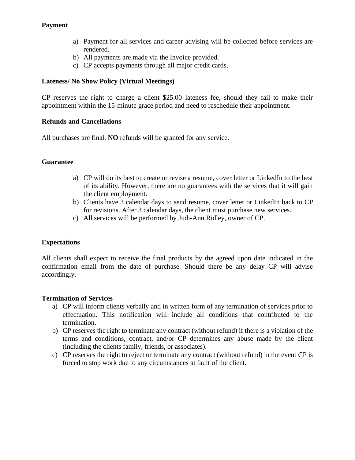# **Payment**

- a) Payment for all services and career advising will be collected before services are rendered.
- b) All payments are made via the Invoice provided.
- c) CP accepts payments through all major credit cards.

# **Lateness/ No Show Policy (Virtual Meetings)**

CP reserves the right to charge a client \$25.00 lateness fee, should they fail to make their appointment within the 15-minute grace period and need to reschedule their appointment.

# **Refunds and Cancellations**

All purchases are final. **NO** refunds will be granted for any service.

# **Guarantee**

- a) CP will do its best to create or revise a resume, cover letter or LinkedIn to the best of its ability. However, there are no guarantees with the services that it will gain the client employment.
- b) Clients have 3 calendar days to send resume, cover letter or LinkedIn back to CP for revisions. After 3 calendar days, the client must purchase new services.
- c) All services will be performed by Judi-Ann Ridley, owner of CP.

# **Expectations**

All clients shall expect to receive the final products by the agreed upon date indicated in the confirmation email from the date of purchase. Should there be any delay CP will advise accordingly.

## **Termination of Services**

- a) CP will inform clients verbally and in written form of any termination of services prior to effectuation. This notification will include all conditions that contributed to the termination.
- b) CP reserves the right to terminate any contract (without refund) if there is a violation of the terms and conditions, contract, and/or CP determines any abuse made by the client (including the clients family, friends, or associates).
- c) CP reserves the right to reject or terminate any contract (without refund) in the event CP is forced to stop work due to any circumstances at fault of the client.